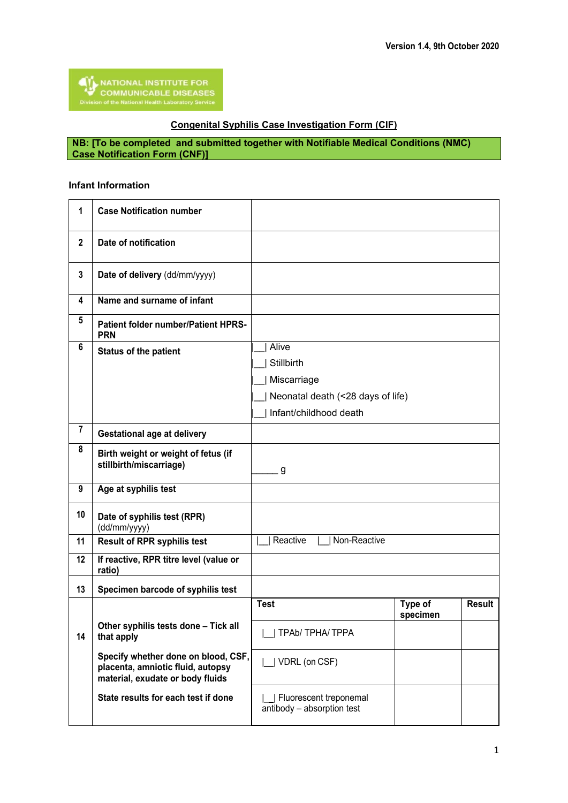## **Congenital Syphilis Case Investigation Form (CIF)**

**NB: [To be completed and submitted together with Notifiable Medical Conditions (NMC) Case Notification Form (CNF)]**

## **Infant Information**

| 1              | <b>Case Notification number</b>                                                                              |                                                      |                     |               |
|----------------|--------------------------------------------------------------------------------------------------------------|------------------------------------------------------|---------------------|---------------|
| $\mathbf 2$    | Date of notification                                                                                         |                                                      |                     |               |
| 3              | Date of delivery (dd/mm/yyyy)                                                                                |                                                      |                     |               |
| 4              | Name and surname of infant                                                                                   |                                                      |                     |               |
| 5              | <b>Patient folder number/Patient HPRS-</b><br><b>PRN</b>                                                     |                                                      |                     |               |
| 6              | <b>Status of the patient</b>                                                                                 | Alive                                                |                     |               |
|                |                                                                                                              | Stillbirth                                           |                     |               |
|                |                                                                                                              | Miscarriage                                          |                     |               |
|                |                                                                                                              | Neonatal death (<28 days of life)                    |                     |               |
|                |                                                                                                              | Infant/childhood death                               |                     |               |
| $\overline{7}$ | <b>Gestational age at delivery</b>                                                                           |                                                      |                     |               |
| 8              | Birth weight or weight of fetus (if<br>stillbirth/miscarriage)                                               | g                                                    |                     |               |
| 9              | Age at syphilis test                                                                                         |                                                      |                     |               |
| 10             | Date of syphilis test (RPR)<br>(dd/mm/yyyy)                                                                  |                                                      |                     |               |
| 11             | <b>Result of RPR syphilis test</b>                                                                           | Reactive<br>Non-Reactive                             |                     |               |
| 12             | If reactive, RPR titre level (value or<br>ratio)                                                             |                                                      |                     |               |
| 13             | Specimen barcode of syphilis test                                                                            |                                                      |                     |               |
|                |                                                                                                              | <b>Test</b>                                          | Type of<br>specimen | <b>Result</b> |
| 14             | Other syphilis tests done - Tick all<br>that apply                                                           | TPAb/TPHA/TPPA                                       |                     |               |
|                | Specify whether done on blood, CSF,<br>placenta, amniotic fluid, autopsy<br>material, exudate or body fluids | VDRL (on CSF)                                        |                     |               |
|                | State results for each test if done                                                                          | Fluorescent treponemal<br>antibody - absorption test |                     |               |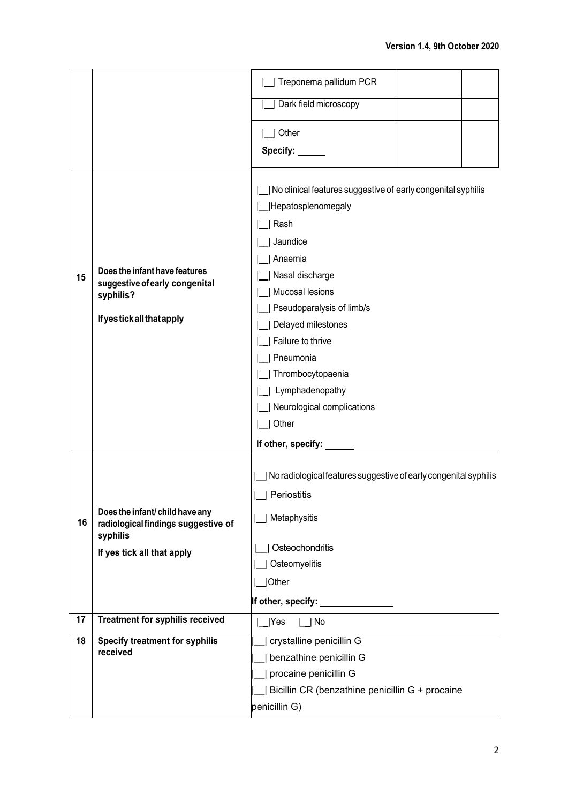|    |                                                                                                                  | Treponema pallidum PCR                                                                                                                                                                                                                                                                                                                            |  |
|----|------------------------------------------------------------------------------------------------------------------|---------------------------------------------------------------------------------------------------------------------------------------------------------------------------------------------------------------------------------------------------------------------------------------------------------------------------------------------------|--|
|    |                                                                                                                  | Dark field microscopy                                                                                                                                                                                                                                                                                                                             |  |
|    |                                                                                                                  | Other                                                                                                                                                                                                                                                                                                                                             |  |
|    |                                                                                                                  | Specify: ___                                                                                                                                                                                                                                                                                                                                      |  |
| 15 | Does the infant have features<br>suggestive of early congenital<br>syphilis?<br><b>If yestick all that apply</b> | No clinical features suggestive of early congenital syphilis<br>Hepatosplenomegaly<br>Rash<br>Jaundice<br>Anaemia<br>Nasal discharge<br>Mucosal lesions<br>Pseudoparalysis of limb/s<br>Delayed milestones<br>Failure to thrive<br>Pneumonia<br>Thrombocytopaenia<br>Lymphadenopathy<br>Neurological complications<br>Other<br>If other, specify: |  |
| 16 | Does the infant/child have any<br>radiological findings suggestive of<br>syphilis<br>If yes tick all that apply  | No radiological features suggestive of early congenital syphilis<br>  Periostitis<br>Metaphysitis<br>Osteochondritis<br>Osteomyelitis<br> Other<br>If other, specify: <b>with the set of the set of the set of the set of the set of the set of the set of the set o</b>                                                                          |  |
| 17 | <b>Treatment for syphilis received</b>                                                                           | Yes<br>  No                                                                                                                                                                                                                                                                                                                                       |  |
| 18 | <b>Specify treatment for syphilis</b><br>received                                                                | crystalline penicillin G<br>benzathine penicillin G<br>procaine penicillin G<br>Bicillin CR (benzathine penicillin G + procaine<br>penicillin G)                                                                                                                                                                                                  |  |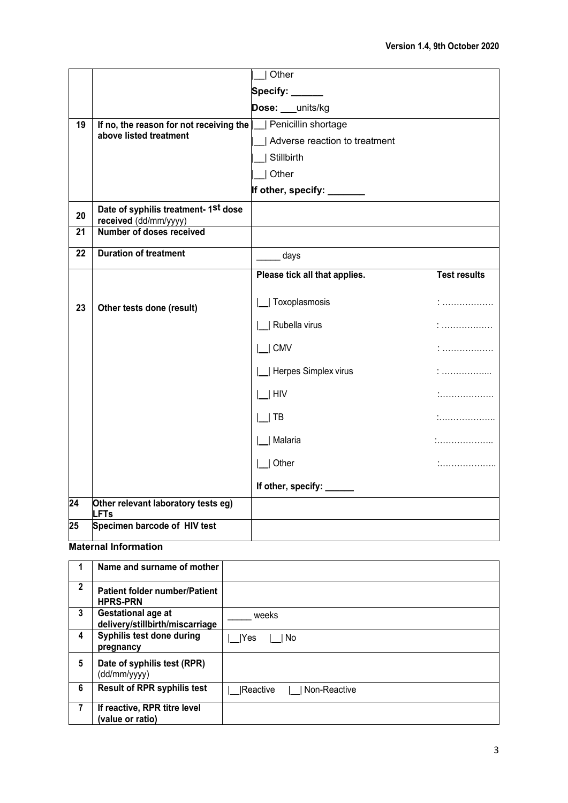|    |                                                                               | Other                         |                     |
|----|-------------------------------------------------------------------------------|-------------------------------|---------------------|
|    |                                                                               |                               |                     |
|    |                                                                               | Specify:                      |                     |
|    |                                                                               | Dose: ___ units/kg            |                     |
| 19 | If no, the reason for not receiving the $\parallel$<br>above listed treatment | Penicillin shortage           |                     |
|    |                                                                               | Adverse reaction to treatment |                     |
|    |                                                                               | Stillbirth                    |                     |
|    |                                                                               | Other                         |                     |
|    |                                                                               | If other, specify: ______     |                     |
| 20 | Date of syphilis treatment- 1st dose<br>received (dd/mm/yyyy)                 |                               |                     |
| 21 | Number of doses received                                                      |                               |                     |
| 22 | <b>Duration of treatment</b>                                                  | days                          |                     |
|    |                                                                               | Please tick all that applies. | <b>Test results</b> |
| 23 | Other tests done (result)                                                     | Toxoplasmosis                 |                     |
|    |                                                                               | Rubella virus                 | .<br>.              |
|    |                                                                               | $ $ $ $ CMV                   |                     |
|    |                                                                               | Herpes Simplex virus          | .                   |
|    |                                                                               | $ $   HIV                     |                     |
|    |                                                                               | TB                            |                     |
|    |                                                                               | __  Malaria                   | .                   |
|    |                                                                               | $ $   Other                   |                     |
|    |                                                                               | If other, specify: ___        |                     |
| 24 | Other relevant laboratory tests eg)<br><b>LFTs</b>                            |                               |                     |
| 25 | Specimen barcode of HIV test                                                  |                               |                     |

## **Maternal Information**

|              | Name and surname of mother                              |                           |
|--------------|---------------------------------------------------------|---------------------------|
| $\mathbf{2}$ | <b>Patient folder number/Patient</b><br><b>HPRS-PRN</b> |                           |
| 3            | Gestational age at<br>delivery/stillbirth/miscarriage   | weeks                     |
| 4            | Syphilis test done during<br>pregnancy                  | Yes<br>l No               |
| 5            | Date of syphilis test (RPR)<br>(dd/mm/yyyy)             |                           |
| 6            | <b>Result of RPR syphilis test</b>                      | Non-Reactive<br> Reactive |
| 7            | If reactive, RPR titre level<br>(value or ratio)        |                           |